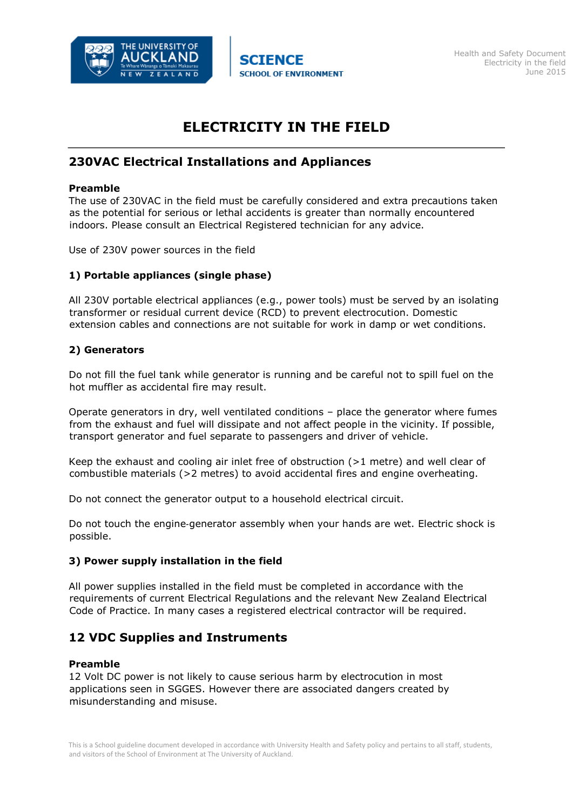

# **ELECTRICITY IN THE FIELD**

# **230VAC Electrical Installations and Appliances**

### **Preamble**

The use of 230VAC in the field must be carefully considered and extra precautions taken as the potential for serious or lethal accidents is greater than normally encountered indoors. Please consult an Electrical Registered technician for any advice.

Use of 230V power sources in the field

# **1) Portable appliances (single phase)**

All 230V portable electrical appliances (e.g., power tools) must be served by an isolating transformer or residual current device (RCD) to prevent electrocution. Domestic extension cables and connections are not suitable for work in damp or wet conditions.

## **2) Generators**

Do not fill the fuel tank while generator is running and be careful not to spill fuel on the hot muffler as accidental fire may result.

Operate generators in dry, well ventilated conditions – place the generator where fumes from the exhaust and fuel will dissipate and not affect people in the vicinity. If possible, transport generator and fuel separate to passengers and driver of vehicle.

Keep the exhaust and cooling air inlet free of obstruction  $(>1$  metre) and well clear of combustible materials (>2 metres) to avoid accidental fires and engine overheating.

Do not connect the generator output to a household electrical circuit.

Do not touch the engine‐generator assembly when your hands are wet. Electric shock is possible.

## **3) Power supply installation in the field**

All power supplies installed in the field must be completed in accordance with the requirements of current Electrical Regulations and the relevant New Zealand Electrical Code of Practice. In many cases a registered electrical contractor will be required.

# **12 VDC Supplies and Instruments**

### **Preamble**

12 Volt DC power is not likely to cause serious harm by electrocution in most applications seen in SGGES. However there are associated dangers created by misunderstanding and misuse.